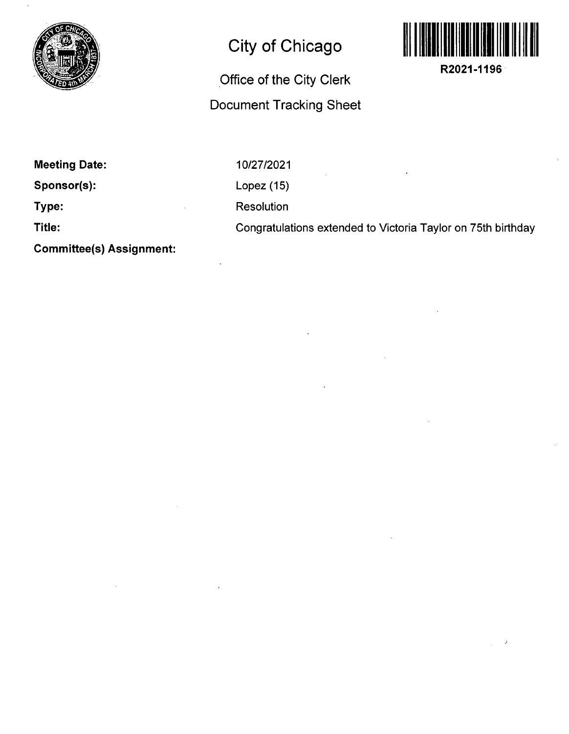

## **City of Chicago**

## **Office of the City Clerk Document Tracking Sheet**



**R2021-1196** 

**Meeting Date:** 

**Sponsor(s):** 

**Type:** 

**Title:** 

10/27/2021 Lopez (15) Resolution Congratulations extended to Victoria Taylor on 75th birthday

**Committee(s) Assignment:**